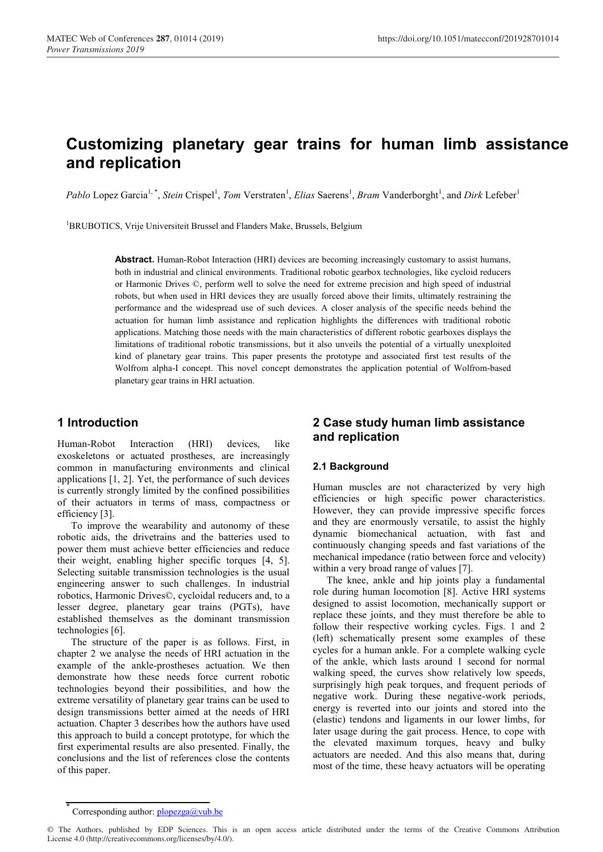# **Customizing planetary gear trains for human limb assistance and replication**

Pablo Lopez Garcia<sup>1,\*</sup>, *Stein* Crispel<sup>1</sup>, *Tom* Verstraten<sup>1</sup>, *Elias* Saerens<sup>1</sup>, *Bram* Vanderborght<sup>1</sup>, and *Dirk* Lefeber<sup>1</sup>

<sup>1</sup>BRUBOTICS, Vrije Universiteit Brussel and Flanders Make, Brussels, Belgium

**Abstract.** Human-Robot Interaction (HRI) devices are becoming increasingly customary to assist humans, both in industrial and clinical environments. Traditional robotic gearbox technologies, like cycloid reducers or Harmonic Drives ©, perform well to solve the need for extreme precision and high speed of industrial robots, but when used in HRI devices they are usually forced above their limits, ultimately restraining the performance and the widespread use of such devices. A closer analysis of the specific needs behind the actuation for human limb assistance and replication highlights the differences with traditional robotic applications. Matching those needs with the main characteristics of different robotic gearboxes displays the limitations of traditional robotic transmissions, but it also unveils the potential of a virtually unexploited kind of planetary gear trains. This paper presents the prototype and associated first test results of the Wolfrom alpha-I concept. This novel concept demonstrates the application potential of Wolfrom-based planetary gear trains in HRI actuation.

## **1 Introduction**

Human-Robot Interaction (HRI) devices, like exoskeletons or actuated prostheses, are increasingly common in manufacturing environments and clinical applications [1, 2]. Yet, the performance of such devices is currently strongly limited by the confined possibilities of their actuators in terms of mass, compactness or efficiency [3].

To improve the wearability and autonomy of these robotic aids, the drivetrains and the batteries used to power them must achieve better efficiencies and reduce their weight, enabling higher specific torques [4, 5]. Selecting suitable transmission technologies is the usual engineering answer to such challenges. In industrial robotics, Harmonic Drives©, cycloidal reducers and, to a lesser degree, planetary gear trains (PGTs), have established themselves as the dominant transmission technologies [6].

The structure of the paper is as follows. First, in chapter 2 we analyse the needs of HRI actuation in the example of the ankle-prostheses actuation. We then demonstrate how these needs force current robotic technologies beyond their possibilities, and how the extreme versatility of planetary gear trains can be used to design transmissions better aimed at the needs of HRI actuation. Chapter 3 describes how the authors have used this approach to build a concept prototype, for which the first experimental results are also presented. Finally, the conclusions and the list of references close the contents of this paper.

# **2 Case study human limb assistance and replication**

## **2.1 Background**

Human muscles are not characterized by very high efficiencies or high specific power characteristics. However, they can provide impressive specific forces and they are enormously versatile, to assist the highly dynamic biomechanical actuation, with fast and continuously changing speeds and fast variations of the mechanical impedance (ratio between force and velocity) within a very broad range of values [7].

The knee, ankle and hip joints play a fundamental role during human locomotion [8]. Active HRI systems designed to assist locomotion, mechanically support or replace these joints, and they must therefore be able to follow their respective working cycles. Figs. 1 and 2 (left) schematically present some examples of these cycles for a human ankle. For a complete walking cycle of the ankle, which lasts around 1 second for normal walking speed, the curves show relatively low speeds, surprisingly high peak torques, and frequent periods of negative work. During these negative-work periods, energy is reverted into our joints and stored into the (elastic) tendons and ligaments in our lower limbs, for later usage during the gait process. Hence, to cope with the elevated maximum torques, heavy and bulky actuators are needed. And this also means that, during most of the time, these heavy actuators will be operating

Corresponding author: plopezga@vub.be

<sup>©</sup> The Authors, published by EDP Sciences. This is an open access article distributed under the terms of the Creative Commons Attribution License 4.0 (http://creativecommons.org/licenses/by/4.0/).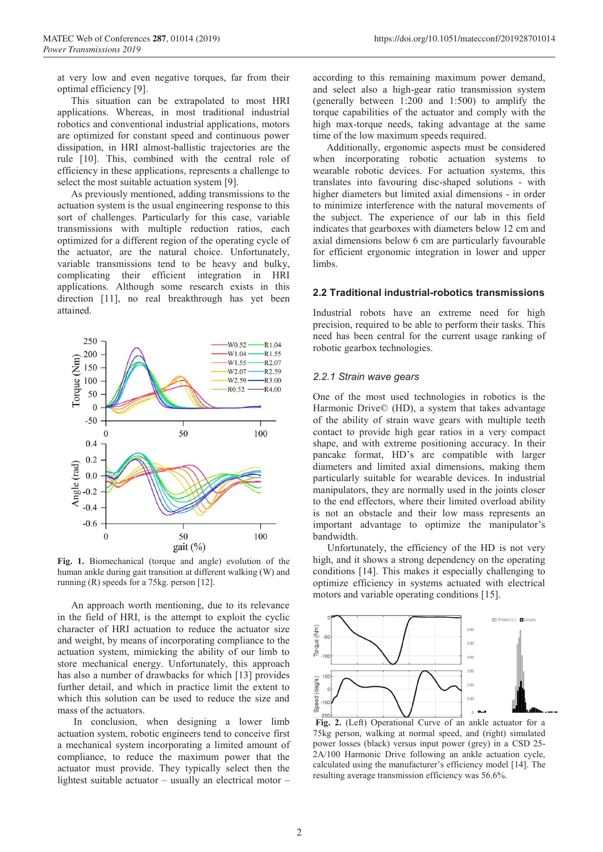at very low and even negative torques, far from their optimal efficiency [9].

This situation can be extrapolated to most HRI applications. Whereas, in most traditional industrial robotics and conventional industrial applications, motors are optimized for constant speed and continuous power dissipation, in HRI almost-ballistic trajectories are the rule [10]. This, combined with the central role of efficiency in these applications, represents a challenge to select the most suitable actuation system [9].

As previously mentioned, adding transmissions to the actuation system is the usual engineering response to this sort of challenges. Particularly for this case, variable transmissions with multiple reduction ratios, each optimized for a different region of the operating cycle of the actuator, are the natural choice. Unfortunately, variable transmissions tend to be heavy and bulky, complicating their efficient integration in HRI applications. Although some research exists in this direction [11], no real breakthrough has yet been attained.



**Fig. 1.** Biomechanical (torque and angle) evolution of the human ankle during gait transition at different walking (W) and running (R) speeds for a 75kg. person [12].

An approach worth mentioning, due to its relevance in the field of HRI, is the attempt to exploit the cyclic character of HRI actuation to reduce the actuator size and weight, by means of incorporating compliance to the actuation system, mimicking the ability of our limb to store mechanical energy. Unfortunately, this approach has also a number of drawbacks for which [13] provides further detail, and which in practice limit the extent to which this solution can be used to reduce the size and mass of the actuators.

In conclusion, when designing a lower limb actuation system, robotic engineers tend to conceive first a mechanical system incorporating a limited amount of compliance, to reduce the maximum power that the actuator must provide. They typically select then the lightest suitable actuator – usually an electrical motor –

according to this remaining maximum power demand, and select also a high-gear ratio transmission system (generally between 1:200 and 1:500) to amplify the torque capabilities of the actuator and comply with the high max-torque needs, taking advantage at the same time of the low maximum speeds required.

Additionally, ergonomic aspects must be considered when incorporating robotic actuation systems to wearable robotic devices. For actuation systems, this translates into favouring disc-shaped solutions - with higher diameters but limited axial dimensions - in order to minimize interference with the natural movements of the subject. The experience of our lab in this field indicates that gearboxes with diameters below 12 cm and axial dimensions below 6 cm are particularly favourable for efficient ergonomic integration in lower and upper limbs.

#### **2.2 Traditional industrial-robotics transmissions**

Industrial robots have an extreme need for high precision, required to be able to perform their tasks. This need has been central for the current usage ranking of robotic gearbox technologies.

#### *2.2.1 Strain wave gears*

One of the most used technologies in robotics is the Harmonic Drive© (HD), a system that takes advantage of the ability of strain wave gears with multiple teeth contact to provide high gear ratios in a very compact shape, and with extreme positioning accuracy. In their pancake format, HD's are compatible with larger diameters and limited axial dimensions, making them particularly suitable for wearable devices. In industrial manipulators, they are normally used in the joints closer to the end effectors, where their limited overload ability is not an obstacle and their low mass represents an important advantage to optimize the manipulator's bandwidth.

Unfortunately, the efficiency of the HD is not very high, and it shows a strong dependency on the operating conditions [14]. This makes it especially challenging to optimize efficiency in systems actuated with electrical motors and variable operating conditions [15].



**Fig. 2.** (Left) Operational Curve of an ankle actuator for a 75kg person, walking at normal speed, and (right) simulated power losses (black) versus input power (grey) in a CSD 25- 2A/100 Harmonic Drive following an ankle actuation cycle, calculated using the manufacturer's efficiency model [14]. The resulting average transmission efficiency was 56.6%.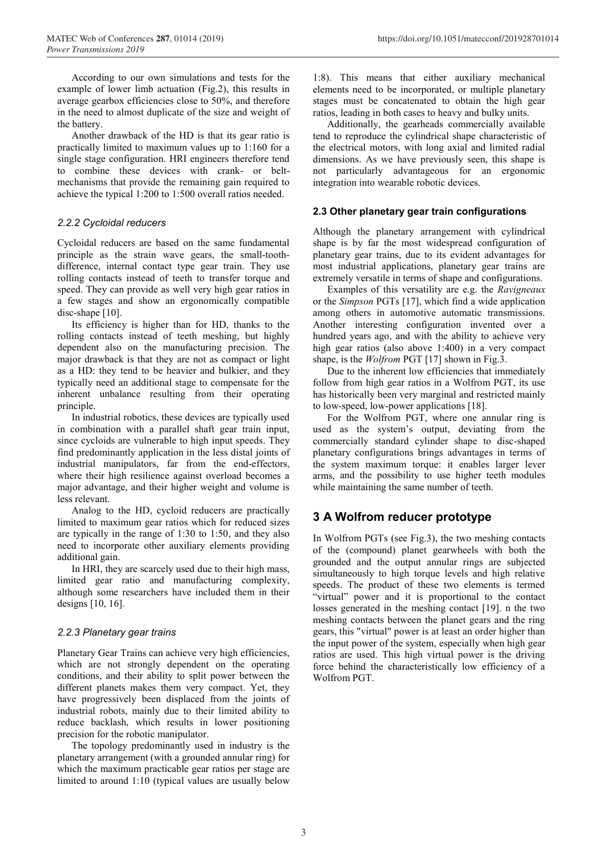According to our own simulations and tests for the example of lower limb actuation (Fig.2), this results in average gearbox efficiencies close to 50%, and therefore in the need to almost duplicate of the size and weight of the battery.

Another drawback of the HD is that its gear ratio is practically limited to maximum values up to 1:160 for a single stage configuration. HRI engineers therefore tend to combine these devices with crank- or beltmechanisms that provide the remaining gain required to achieve the typical 1:200 to 1:500 overall ratios needed.

## *2.2.2 Cycloidal reducers*

Cycloidal reducers are based on the same fundamental principle as the strain wave gears, the small-toothdifference, internal contact type gear train. They use rolling contacts instead of teeth to transfer torque and speed. They can provide as well very high gear ratios in a few stages and show an ergonomically compatible disc-shape [10].

Its efficiency is higher than for HD, thanks to the rolling contacts instead of teeth meshing, but highly dependent also on the manufacturing precision. The major drawback is that they are not as compact or light as a HD: they tend to be heavier and bulkier, and they typically need an additional stage to compensate for the inherent unbalance resulting from their operating principle.

In industrial robotics, these devices are typically used in combination with a parallel shaft gear train input, since cycloids are vulnerable to high input speeds. They find predominantly application in the less distal joints of industrial manipulators, far from the end-effectors, where their high resilience against overload becomes a major advantage, and their higher weight and volume is less relevant.

Analog to the HD, cycloid reducers are practically limited to maximum gear ratios which for reduced sizes are typically in the range of 1:30 to 1:50, and they also need to incorporate other auxiliary elements providing additional gain.

In HRI, they are scarcely used due to their high mass, limited gear ratio and manufacturing complexity, although some researchers have included them in their designs [10, 16].

## *2.2.3 Planetary gear trains*

Planetary Gear Trains can achieve very high efficiencies, which are not strongly dependent on the operating conditions, and their ability to split power between the different planets makes them very compact. Yet, they have progressively been displaced from the joints of industrial robots, mainly due to their limited ability to reduce backlash, which results in lower positioning precision for the robotic manipulator.

The topology predominantly used in industry is the planetary arrangement (with a grounded annular ring) for which the maximum practicable gear ratios per stage are limited to around 1:10 (typical values are usually below

1:8). This means that either auxiliary mechanical elements need to be incorporated, or multiple planetary stages must be concatenated to obtain the high gear ratios, leading in both cases to heavy and bulky units.

Additionally, the gearheads commercially available tend to reproduce the cylindrical shape characteristic of the electrical motors, with long axial and limited radial dimensions. As we have previously seen, this shape is not particularly advantageous for an ergonomic integration into wearable robotic devices.

#### **2.3 Other planetary gear train configurations**

Although the planetary arrangement with cylindrical shape is by far the most widespread configuration of planetary gear trains, due to its evident advantages for most industrial applications, planetary gear trains are extremely versatile in terms of shape and configurations.

Examples of this versatility are e.g. the *Ravigneaux* or the *Simpson* PGTs [17], which find a wide application among others in automotive automatic transmissions. Another interesting configuration invented over a hundred years ago, and with the ability to achieve very high gear ratios (also above 1:400) in a very compact shape, is the *Wolfrom* PGT [17] shown in Fig.3.

Due to the inherent low efficiencies that immediately follow from high gear ratios in a Wolfrom PGT, its use has historically been very marginal and restricted mainly to low-speed, low-power applications [18].

For the Wolfrom PGT, where one annular ring is used as the system's output, deviating from the commercially standard cylinder shape to disc-shaped planetary configurations brings advantages in terms of the system maximum torque: it enables larger lever arms, and the possibility to use higher teeth modules while maintaining the same number of teeth.

## **3 A Wolfrom reducer prototype**

In Wolfrom PGTs (see Fig.3), the two meshing contacts of the (compound) planet gearwheels with both the grounded and the output annular rings are subjected simultaneously to high torque levels and high relative speeds. The product of these two elements is termed "virtual" power and it is proportional to the contact losses generated in the meshing contact [19]. n the two meshing contacts between the planet gears and the ring gears, this "virtual" power is at least an order higher than the input power of the system, especially when high gear ratios are used. This high virtual power is the driving force behind the characteristically low efficiency of a Wolfrom PGT.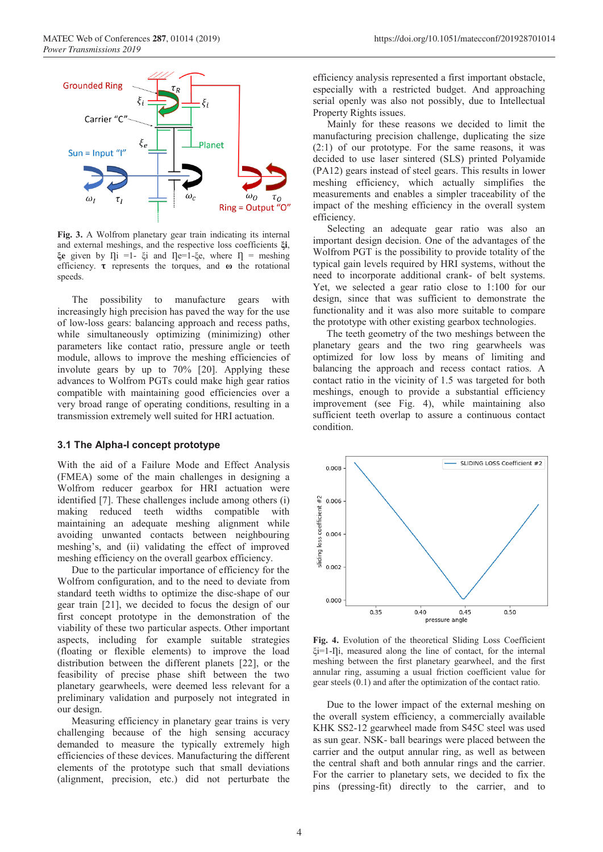

**Fig. 3.** A Wolfrom planetary gear train indicating its internal and external meshings, and the respective loss coefficients **ξi**, **ξe** given by Ƞi =1- ξi and Ƞe=1-ξe, where Ƞ = meshing efficiency. represents the torques, and **ω** the rotational speeds.

The possibility to manufacture gears with increasingly high precision has paved the way for the use of low-loss gears: balancing approach and recess paths, while simultaneously optimizing (minimizing) other parameters like contact ratio, pressure angle or teeth module, allows to improve the meshing efficiencies of involute gears by up to 70% [20]. Applying these advances to Wolfrom PGTs could make high gear ratios compatible with maintaining good efficiencies over a very broad range of operating conditions, resulting in a transmission extremely well suited for HRI actuation.

#### **3.1 The Alpha-I concept prototype**

With the aid of a Failure Mode and Effect Analysis (FMEA) some of the main challenges in designing a Wolfrom reducer gearbox for HRI actuation were identified [7]. These challenges include among others (i) making reduced teeth widths compatible with maintaining an adequate meshing alignment while avoiding unwanted contacts between neighbouring meshing's, and (ii) validating the effect of improved meshing efficiency on the overall gearbox efficiency.

Due to the particular importance of efficiency for the Wolfrom configuration, and to the need to deviate from standard teeth widths to optimize the disc-shape of our gear train [21], we decided to focus the design of our first concept prototype in the demonstration of the viability of these two particular aspects. Other important aspects, including for example suitable strategies (floating or flexible elements) to improve the load distribution between the different planets [22], or the feasibility of precise phase shift between the two planetary gearwheels, were deemed less relevant for a preliminary validation and purposely not integrated in our design.

Measuring efficiency in planetary gear trains is very challenging because of the high sensing accuracy demanded to measure the typically extremely high efficiencies of these devices. Manufacturing the different elements of the prototype such that small deviations (alignment, precision, etc.) did not perturbate the

efficiency analysis represented a first important obstacle, especially with a restricted budget. And approaching serial openly was also not possibly, due to Intellectual Property Rights issues.

Mainly for these reasons we decided to limit the manufacturing precision challenge, duplicating the size (2:1) of our prototype. For the same reasons, it was decided to use laser sintered (SLS) printed Polyamide (PA12) gears instead of steel gears. This results in lower meshing efficiency, which actually simplifies the measurements and enables a simpler traceability of the impact of the meshing efficiency in the overall system efficiency.

Selecting an adequate gear ratio was also an important design decision. One of the advantages of the Wolfrom PGT is the possibility to provide totality of the typical gain levels required by HRI systems, without the need to incorporate additional crank- of belt systems. Yet, we selected a gear ratio close to 1:100 for our design, since that was sufficient to demonstrate the functionality and it was also more suitable to compare the prototype with other existing gearbox technologies.

The teeth geometry of the two meshings between the planetary gears and the two ring gearwheels was optimized for low loss by means of limiting and balancing the approach and recess contact ratios. A contact ratio in the vicinity of 1.5 was targeted for both meshings, enough to provide a substantial efficiency improvement (see Fig. 4), while maintaining also sufficient teeth overlap to assure a continuous contact condition.



**Fig. 4.** Evolution of the theoretical Sliding Loss Coefficient ξi=1- $\eta$ i, measured along the line of contact, for the internal meshing between the first planetary gearwheel, and the first annular ring, assuming a usual friction coefficient value for gear steels (0.1) and after the optimization of the contact ratio.

Due to the lower impact of the external meshing on the overall system efficiency, a commercially available KHK SS2-12 gearwheel made from S45C steel was used as sun gear. NSK- ball bearings were placed between the carrier and the output annular ring, as well as between the central shaft and both annular rings and the carrier. For the carrier to planetary sets, we decided to fix the pins (pressing-fit) directly to the carrier, and to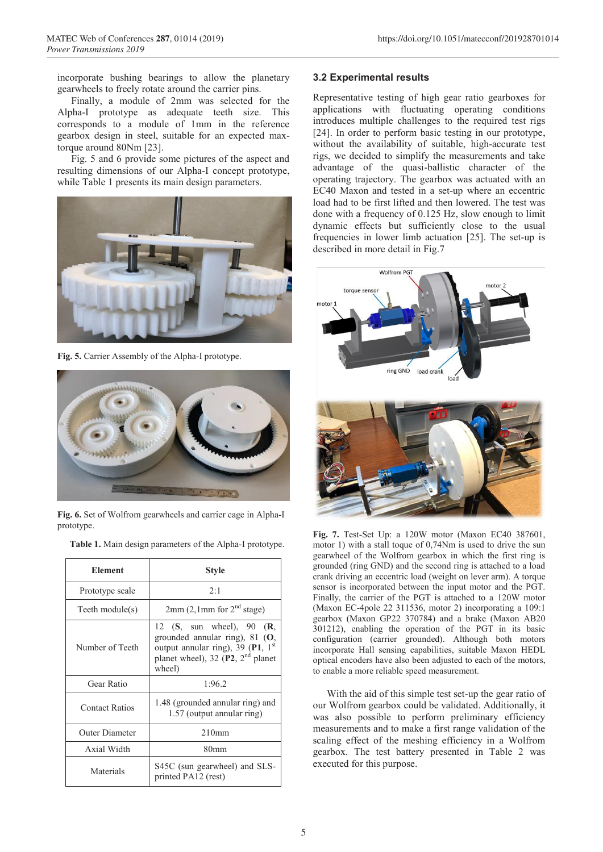incorporate bushing bearings to allow the planetary gearwheels to freely rotate around the carrier pins.

Finally, a module of 2mm was selected for the Alpha-I prototype as adequate teeth size. This corresponds to a module of 1mm in the reference gearbox design in steel, suitable for an expected maxtorque around 80Nm [23].

Fig. 5 and 6 provide some pictures of the aspect and resulting dimensions of our Alpha-I concept prototype, while Table 1 presents its main design parameters.



**Fig. 5.** Carrier Assembly of the Alpha-I prototype.



**Fig. 6.** Set of Wolfrom gearwheels and carrier cage in Alpha-I prototype.

| Table 1. Main design parameters of the Alpha-I prototype. |  |  |  |  |  |
|-----------------------------------------------------------|--|--|--|--|--|
|-----------------------------------------------------------|--|--|--|--|--|

| <b>Element</b>        | <b>Style</b>                                                                                                                                              |  |  |
|-----------------------|-----------------------------------------------------------------------------------------------------------------------------------------------------------|--|--|
| Prototype scale       | 2:1                                                                                                                                                       |  |  |
| Teeth module(s)       | $2mm$ (2,1mm for $2nd$ stage)                                                                                                                             |  |  |
| Number of Teeth       | 12 (S, sun wheel), 90 (R,<br>grounded annular ring), $81$ (O,<br>output annular ring), 39 (P1, $1st$<br>planet wheel), 32 ( $P2$ , $2nd$ planet<br>wheel) |  |  |
| Gear Ratio            | 1:96.2                                                                                                                                                    |  |  |
| <b>Contact Ratios</b> | 1.48 (grounded annular ring) and<br>1.57 (output annular ring)                                                                                            |  |  |
| Outer Diameter        | $210$ mm                                                                                                                                                  |  |  |
| Axial Width           | 80 <sub>mm</sub>                                                                                                                                          |  |  |
| Materials             | S45C (sun gearwheel) and SLS-<br>printed PA12 (rest)                                                                                                      |  |  |

## **3.2 Experimental results**

Representative testing of high gear ratio gearboxes for applications with fluctuating operating conditions introduces multiple challenges to the required test rigs [24]. In order to perform basic testing in our prototype, without the availability of suitable, high-accurate test rigs, we decided to simplify the measurements and take advantage of the quasi-ballistic character of the operating trajectory. The gearbox was actuated with an EC40 Maxon and tested in a set-up where an eccentric load had to be first lifted and then lowered. The test was done with a frequency of 0.125 Hz, slow enough to limit dynamic effects but sufficiently close to the usual frequencies in lower limb actuation [25]. The set-up is described in more detail in Fig.7



**Fig. 7.** Test-Set Up: a 120W motor (Maxon EC40 387601, motor 1) with a stall toque of 0,74Nm is used to drive the sun gearwheel of the Wolfrom gearbox in which the first ring is grounded (ring GND) and the second ring is attached to a load crank driving an eccentric load (weight on lever arm). A torque sensor is incorporated between the input motor and the PGT. Finally, the carrier of the PGT is attached to a 120W motor (Maxon EC-4pole 22 311536, motor 2) incorporating a 109:1 gearbox (Maxon GP22 370784) and a brake (Maxon AB20 301212), enabling the operation of the PGT in its basic configuration (carrier grounded). Although both motors incorporate Hall sensing capabilities, suitable Maxon HEDL optical encoders have also been adjusted to each of the motors, to enable a more reliable speed measurement.

With the aid of this simple test set-up the gear ratio of our Wolfrom gearbox could be validated. Additionally, it was also possible to perform preliminary efficiency measurements and to make a first range validation of the scaling effect of the meshing efficiency in a Wolfrom gearbox. The test battery presented in Table 2 was executed for this purpose.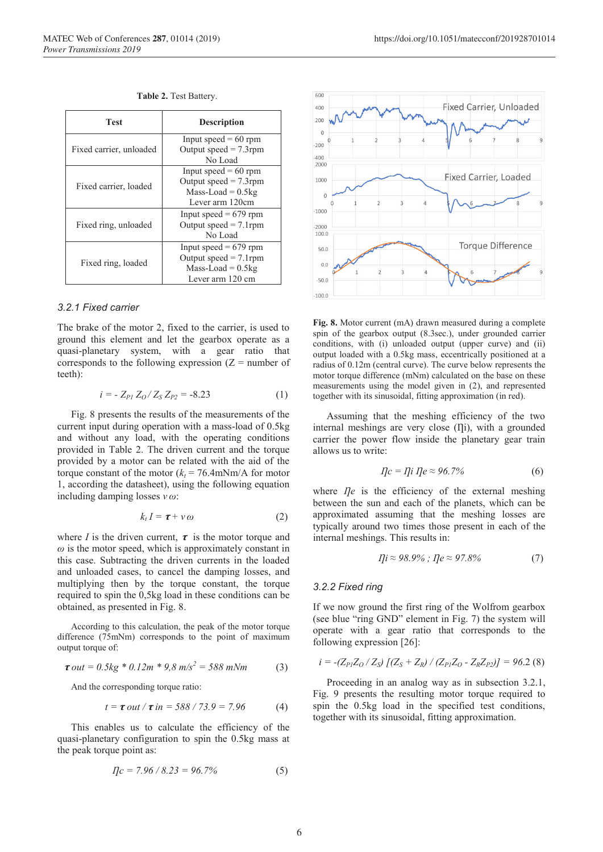| <b>Test</b>             | <b>Description</b>                                                                                    |  |  |  |
|-------------------------|-------------------------------------------------------------------------------------------------------|--|--|--|
| Fixed carrier, unloaded | Input speed $= 60$ rpm<br>Output speed $= 7.3$ rpm<br>No Load                                         |  |  |  |
| Fixed carrier, loaded   | Input speed $= 60$ rpm<br>Output speed $= 7.3$ rpm<br>$Mass\text{-}Load = 0.5kg$<br>Lever arm 120cm   |  |  |  |
| Fixed ring, unloaded    | Input speed $= 679$ rpm<br>Output speed $= 7.1$ rpm<br>No Load                                        |  |  |  |
| Fixed ring, loaded      | Input speed $= 679$ rpm<br>Output speed $= 7.1$ rpm<br>$Mass\text{-}Load = 0.5kg$<br>Lever arm 120 cm |  |  |  |

**Table 2.** Test Battery.

#### *3.2.1 Fixed carrier*

The brake of the motor 2, fixed to the carrier, is used to ground this element and let the gearbox operate as a quasi-planetary system, with a gear ratio that corresponds to the following expression  $(Z =$  number of teeth):

$$
i = -Z_{P1} Z_0 / Z_S Z_{P2} = -8.23
$$
 (1)

Fig. 8 presents the results of the measurements of the current input during operation with a mass-load of 0.5kg and without any load, with the operating conditions provided in Table 2. The driven current and the torque provided by a motor can be related with the aid of the torque constant of the motor  $(k<sub>t</sub> = 76.4 \text{mNm/A}$  for motor 1, according the datasheet), using the following equation including damping losses *ν ω*:

$$
k_t I = \boldsymbol{\tau} + \nu \omega \tag{2}
$$

where *I* is the driven current,  $\tau$  is the motor torque and  $\omega$  is the motor speed, which is approximately constant in this case. Subtracting the driven currents in the loaded and unloaded cases, to cancel the damping losses, and multiplying then by the torque constant, the torque required to spin the 0,5kg load in these conditions can be obtained, as presented in Fig. 8.

According to this calculation, the peak of the motor torque difference (75mNm) corresponds to the point of maximum output torque of:

$$
\tau \, out = 0.5 \, kg \cdot 0.12 \, m \cdot 9.8 \, m/s^2 = 588 \, mNm \tag{3}
$$

And the corresponding torque ratio:

$$
t = \tau \, out / \tau \, in = 588 / 73.9 = 7.96 \tag{4}
$$

This enables us to calculate the efficiency of the quasi-planetary configuration to spin the 0.5kg mass at the peak torque point as:

$$
I\!I\!C = 7.96 / 8.23 = 96.7\% \tag{5}
$$





**Fig. 8.** Motor current (mA) drawn measured during a complete spin of the gearbox output (8.3sec.), under grounded carrier conditions, with (i) unloaded output (upper curve) and (ii) output loaded with a 0.5kg mass, eccentrically positioned at a radius of 0.12m (central curve). The curve below represents the motor torque difference (mNm) calculated on the base on these measurements using the model given in (2), and represented together with its sinusoidal, fitting approximation (in red).

Assuming that the meshing efficiency of the two internal meshings are very close  $(I|i)$ , with a grounded carrier the power flow inside the planetary gear train allows us to write:

$$
\eta_c = \eta_i \, \eta_e \approx 96.7\% \tag{6}
$$

where  $\eta$ e is the efficiency of the external meshing between the sun and each of the planets, which can be approximated assuming that the meshing losses are typically around two times those present in each of the internal meshings. This results in:

$$
I\!I\!i \approx 98.9\% \; ; \; I\!I\!e \approx 97.8\% \tag{7}
$$

#### *3.2.2 Fixed ring*

If we now ground the first ring of the Wolfrom gearbox (see blue "ring GND" element in Fig. 7) the system will operate with a gear ratio that corresponds to the following expression [26]:

$$
i = -(Z_{P1}Z_{O} / Z_{S}) [(Z_{S} + Z_{R}) / (Z_{P1}Z_{O} - Z_{R}Z_{P2})] = 96.2 (8)
$$

Proceeding in an analog way as in subsection 3.2.1, Fig. 9 presents the resulting motor torque required to spin the 0.5kg load in the specified test conditions, together with its sinusoidal, fitting approximation.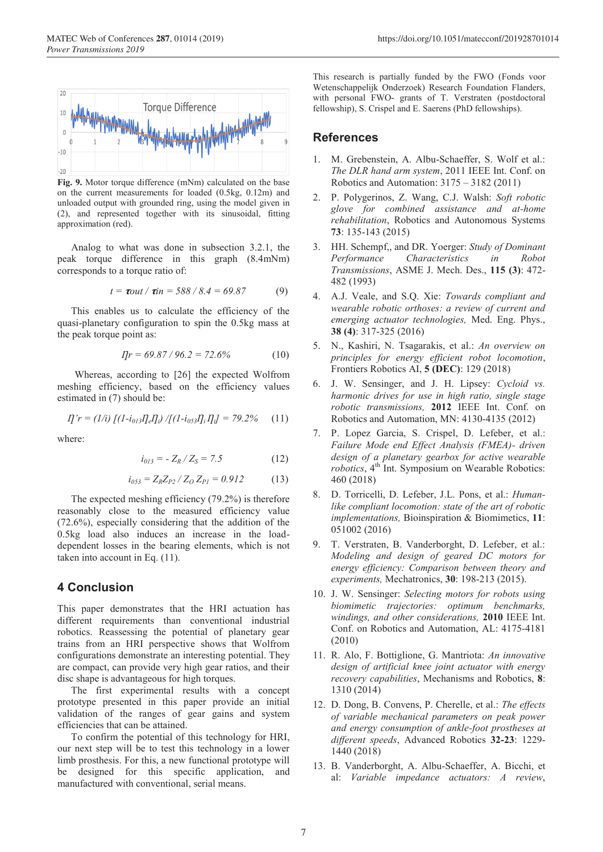

**Fig. 9.** Motor torque difference (mNm) calculated on the base on the current measurements for loaded (0.5kg, 0.12m) and unloaded output with grounded ring, using the model given in (2), and represented together with its sinusoidal, fitting approximation (red).

Analog to what was done in subsection 3.2.1, the peak torque difference in this graph (8.4mNm) corresponds to a torque ratio of:

$$
t = \tau_{\text{out}} / \tau_{\text{in}} = 588 / 8.4 = 69.87 \tag{9}
$$

This enables us to calculate the efficiency of the quasi-planetary configuration to spin the 0.5kg mass at the peak torque point as:

$$
I/r = 69.87 / 96.2 = 72.6\% \tag{10}
$$

Whereas, according to [26] the expected Wolfrom meshing efficiency, based on the efficiency values estimated in (7) should be:

$$
I''_l = (1/i) \left[ (1-i_{013}I_{\ell}I_l) / [(1-i_{053}I_l I_l] = 79.2\% \quad (11) \right]
$$

where:

$$
i_{013} = -Z_R / Z_S = 7.5 \tag{12}
$$

$$
i_{053} = Z_R Z_{P2} / Z_O Z_{P1} = 0.912 \tag{13}
$$

The expected meshing efficiency (79.2%) is therefore reasonably close to the measured efficiency value (72.6%), especially considering that the addition of the 0.5kg load also induces an increase in the loaddependent losses in the bearing elements, which is not taken into account in Eq. (11).

## **4 Conclusion**

This paper demonstrates that the HRI actuation has different requirements than conventional industrial robotics. Reassessing the potential of planetary gear trains from an HRI perspective shows that Wolfrom configurations demonstrate an interesting potential. They are compact, can provide very high gear ratios, and their disc shape is advantageous for high torques.

The first experimental results with a concept prototype presented in this paper provide an initial validation of the ranges of gear gains and system efficiencies that can be attained.

To confirm the potential of this technology for HRI, our next step will be to test this technology in a lower limb prosthesis. For this, a new functional prototype will be designed for this specific application, and manufactured with conventional, serial means.

This research is partially funded by the FWO (Fonds voor Wetenschappelijk Onderzoek) Research Foundation Flanders, with personal FWO- grants of T. Verstraten (postdoctoral fellowship), S. Crispel and E. Saerens (PhD fellowships).

## **References**

- 1. M. Grebenstein, A. Albu-Schaeffer, S. Wolf et al.: *The DLR hand arm system*, 2011 IEEE Int. Conf. on Robotics and Automation: 3175 – 3182 (2011)
- 2. P. Polygerinos, Z. Wang, C.J. Walsh: *Soft robotic glove for combined assistance and at-home rehabilitation*, Robotics and Autonomous Systems **73**: 135-143 (2015)
- 3. HH. Schempf,, and DR. Yoerger: *Study of Dominant Performance Characteristics in Robot Transmissions*, ASME J. Mech. Des., **115 (3)**: 472- 482 (1993)
- 4. A.J. Veale, and S.Q. Xie: *Towards compliant and wearable robotic orthoses: a review of current and emerging actuator technologies,* Med. Eng. Phys., **38 (4)**: 317-325 (2016)
- 5. N., Kashiri, N. Tsagarakis, et al.: *An overview on principles for energy efficient robot locomotion*, Frontiers Robotics AI, **5 (DEC)**: 129 (2018)
- 6. J. W. Sensinger, and J. H. Lipsey: *Cycloid vs. harmonic drives for use in high ratio, single stage robotic transmissions,* **2012** IEEE Int. Conf. on Robotics and Automation, MN: 4130-4135 (2012)
- 7. P. Lopez Garcia, S. Crispel, D. Lefeber, et al.: *Failure Mode end Effect Analysis (FMEA)- driven design of a planetary gearbox for active wearable robotics*, 4<sup>th</sup> Int. Symposium on Wearable Robotics: 460 (2018)
- 8. D. Torricelli, D. Lefeber, J.L. Pons, et al.: *Humanlike compliant locomotion: state of the art of robotic implementations,* Bioinspiration & Biomimetics, **11**: 051002 (2016)
- 9. T. Verstraten, B. Vanderborght, D. Lefeber, et al.: *Modeling and design of geared DC motors for energy efficiency: Comparison between theory and experiments,* Mechatronics, **30**: 198-213 (2015).
- 10. J. W. Sensinger: *Selecting motors for robots using biomimetic trajectories: optimum benchmarks, windings, and other considerations,* **2010** IEEE Int. Conf. on Robotics and Automation, AL: 4175-4181 (2010)
- 11. R. Alo, F. Bottiglione, G. Mantriota: *An innovative design of artificial knee joint actuator with energy recovery capabilities*, Mechanisms and Robotics, **8**: 1310 (2014)
- 12. D. Dong, B. Convens, P. Cherelle, et al.: *The effects of variable mechanical parameters on peak power and energy consumption of ankle-foot prostheses at different speeds*, Advanced Robotics **32-23**: 1229- 1440 (2018)
- 13. B. Vanderborght, A. Albu-Schaeffer, A. Bicchi, et al: *Variable impedance actuators: A review*,